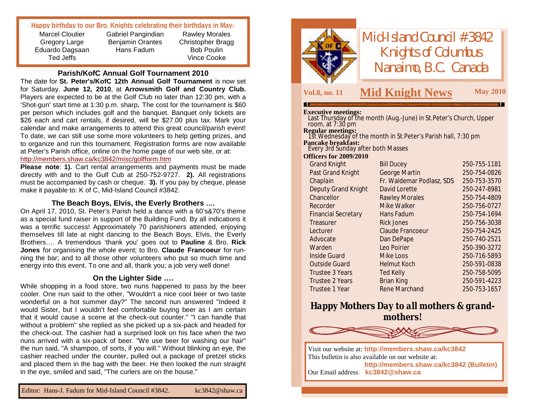# **Happy birthday to our Bro. Knights celebrating their birthdays in May:**

Marcel Cloutier Gregory Large Eduardo Dagsaan Ted Jeffs

Gabriel Pangindian Benjamin Orantes Hans Fadum

Rawley Morales Christopher Bragg Bob Poulin Vince Cooke

### **Parish/KofC Annual Golf Tournament 2010**

The date for **St. Peter's/KofC 12th Annual Golf Tournament** is now set for Saturday, **June 12, 2010**, at **Arrowsmith Golf and Country Club.** Players are expected to be at the Golf Club no later than 12:30 pm, with a 'Shot-gun' start time at 1:30 p.m. sharp**.** The cost for the tournament is \$60 per person which includes golf and the banquet. Banquet only tickets are \$26 each and cart rentals, if desired, will be \$27.00 plus tax. Mark your calendar and make arrangements to attend this great council/parish event! To date, we can still use some more volunteers to help getting prizes, and to organize and run this tournament. Registration forms are now available at Peter's Parish office, online on the home page of our web site, or at: <http://members.shaw.ca/kc3842/misc/golfform.htm>

**Please note**: **1).** Cart rental arrangements and payments must be made directly with and to the Gulf Cub at 250-752-9727. **2).** All registrations must be accompanied by cash or cheque. **3).** If you pay by cheque, please make it payable to: K of C, Mid-Island Council #3842.

# **The Beach Boys, Elvis, the Everly Brothers ….**

On April 17, 2010, St. Peter's Parish held a dance with a 60's&70's theme as a special fund raiser in support of the Building Fund. By all indications it was a terrific success! Approximately 70 parishioners attended, enjoying themselves till late at night dancing to the Beach Boys, Elvis, the Everly Brothers…. A tremendous 'thank you' goes out to **Pauline** & Bro. **Rick Jones** for organising the whole event; to Bro. **Claude Francoeur** for running the bar; and to all those other volunteers who put so much time and energy into this event. To one and all, thank you; a job very well done!

## **On the Lighter Side ….**

While shopping in a food store, two nuns happened to pass by the beer cooler. One nun said to the other, "Wouldn't a nice cool beer or two taste wonderful on a hot summer day?" The second nun answered "Indeed it would Sister, but I wouldn't feel comfortable buying beer as I am certain that it would cause a scene at the check-out counter." "I can handle that without a problem" she replied as she picked up a six-pack and headed for the check-out. The cashier had a surprised look on his face when the two nuns arrived with a six-pack of beer. "We use beer for washing our hair" the nun said, "A shampoo, of sorts, if you will." Without blinking an eye, the cashier reached under the counter, pulled out a package of pretzel sticks and placed them in the bag with the beer. He then looked the nun straight in the eye, smiled and said, "The curlers are on the house."



*Mid-Island Council #3842 Knights of Columbus Nanaimo, B.C. Canada*

# **Vol.8, no. <sup>11</sup> M May <sup>2010</sup> id Knight News**

#### **Executive meetings:**

Last Thursday of the month (Aug.-June) in St.Peter's Church, Upper room, at 7:30 pm **Regular meetings:** 1st Wednesday of the month in St.Peter's Parish hall, 7:30 pm **Pancake breakfast:** Every 3rd Sunday after both Masses **Officers for 2009/2010 Bill Ducey 250-755-1181** 

| Past Grand Knight          | <b>George Martin</b>      | 250-754-0826 |
|----------------------------|---------------------------|--------------|
| Chaplain                   | Fr. Waldemar Podlasz, SDS | 250-753-3570 |
| Deputy Grand Knight        | David Lorette             | 250-247-8981 |
| Chancellor                 | Rawley Morales            | 250-754-4809 |
| Recorder                   | Mike Walker               | 250-756-0727 |
| <b>Financial Secretary</b> | Hans Fadum                | 250-754-1694 |
| Treasurer                  | <b>Rick Jones</b>         | 250-756-3038 |
| Lecturer                   | Claude Francoeur          | 250-754-2425 |
| Advocate                   | Dan DePape                | 250-740-2521 |
| Warden                     | Leo Poirier               | 250-390-3272 |
| <b>Inside Guard</b>        | Mike Loos                 | 250-716-5893 |
| <b>Outside Guard</b>       | Helmut Koch               | 250-591-0838 |
| Trustee 3 Years            | Ted Kelly                 | 250-758-5095 |
| Trustee 2 Years            | <b>Brian King</b>         | 250-591-4223 |
| Trustee 1 Year             | Rene Marchand             | 250-753-1657 |
|                            |                           |              |

# *Happy Mothers Day to all mothers & grandmothers!*



Visit our website at: **<http://members.shaw.ca/kc3842>** This bulletin is also available on our website at: **<http://members.shaw.ca/kc3842> (Bulletin)** Our Email address: **[kc3842@shaw.ca](mailto:kc3842@shaw.ca)**